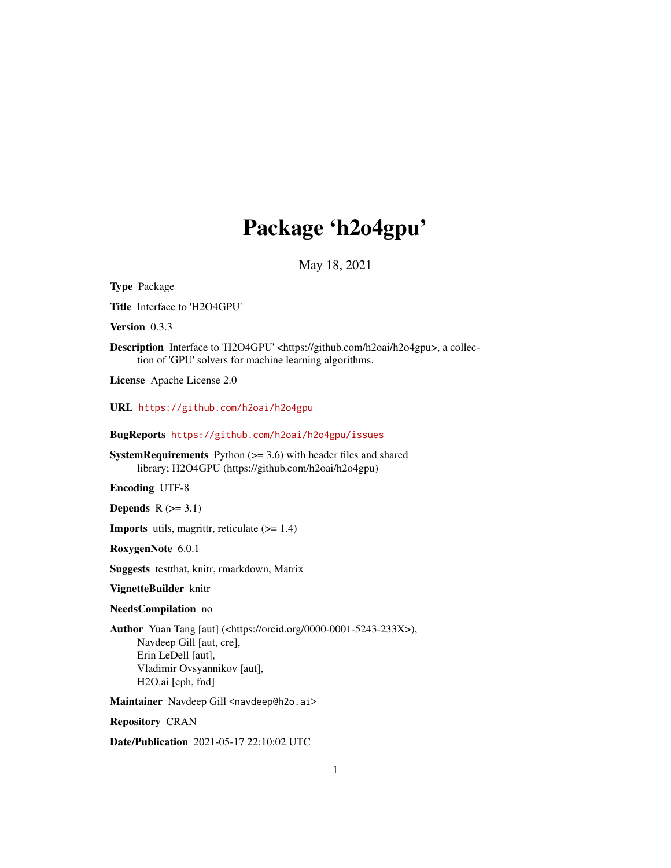# Package 'h2o4gpu'

May 18, 2021

Type Package Title Interface to 'H2O4GPU' Version 0.3.3 Description Interface to 'H2O4GPU' <https://github.com/h2oai/h2o4gpu>, a collection of 'GPU' solvers for machine learning algorithms. License Apache License 2.0 URL <https://github.com/h2oai/h2o4gpu> BugReports <https://github.com/h2oai/h2o4gpu/issues> **SystemRequirements** Python  $(>= 3.6)$  with header files and shared library; H2O4GPU (https://github.com/h2oai/h2o4gpu) Encoding UTF-8 Depends  $R$  ( $>= 3.1$ ) **Imports** utils, magrittr, reticulate  $(>= 1.4)$ RoxygenNote 6.0.1 Suggests testthat, knitr, rmarkdown, Matrix VignetteBuilder knitr NeedsCompilation no Author Yuan Tang [aut] (<https://orcid.org/0000-0001-5243-233X>), Navdeep Gill [aut, cre], Erin LeDell [aut], Vladimir Ovsyannikov [aut], H2O.ai [cph, fnd] Maintainer Navdeep Gill <navdeep@h2o.ai> Repository CRAN

Date/Publication 2021-05-17 22:10:02 UTC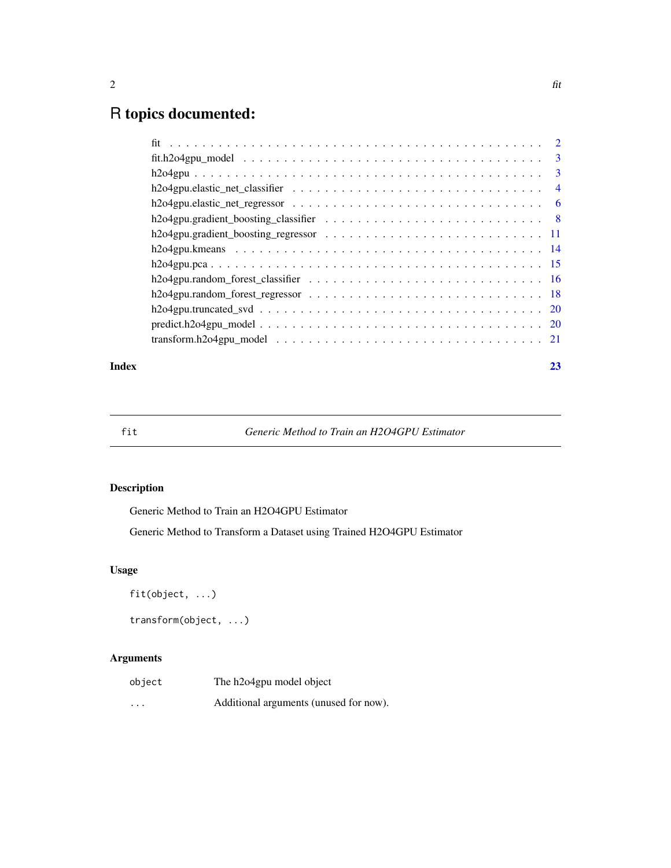## R topics documented:

#### **Index** [23](#page-22-0)

fit *Generic Method to Train an H2O4GPU Estimator*

#### Description

Generic Method to Train an H2O4GPU Estimator

Generic Method to Transform a Dataset using Trained H2O4GPU Estimator

#### Usage

```
fit(object, ...)
```

```
transform(object, ...)
```
#### Arguments

| object   | The h2o4gpu model object               |
|----------|----------------------------------------|
| $\cdots$ | Additional arguments (unused for now). |

#### <span id="page-1-0"></span>2 fit  $\int$  fit  $\int$  fit  $\int$  fit  $\int$  fit  $\int$  fit  $\int$  fit  $\int$  fit  $\int$  fit  $\int$  fit  $\int$  fit  $\int$  fit  $\int$  fit  $\int$  fit  $\int$  fit  $\int$  fit  $\int$  fit  $\int$  fit  $\int$  fit  $\int$  fit  $\int$  fit  $\int$  fit  $\int$  fit  $\int$  fit  $\int$  fit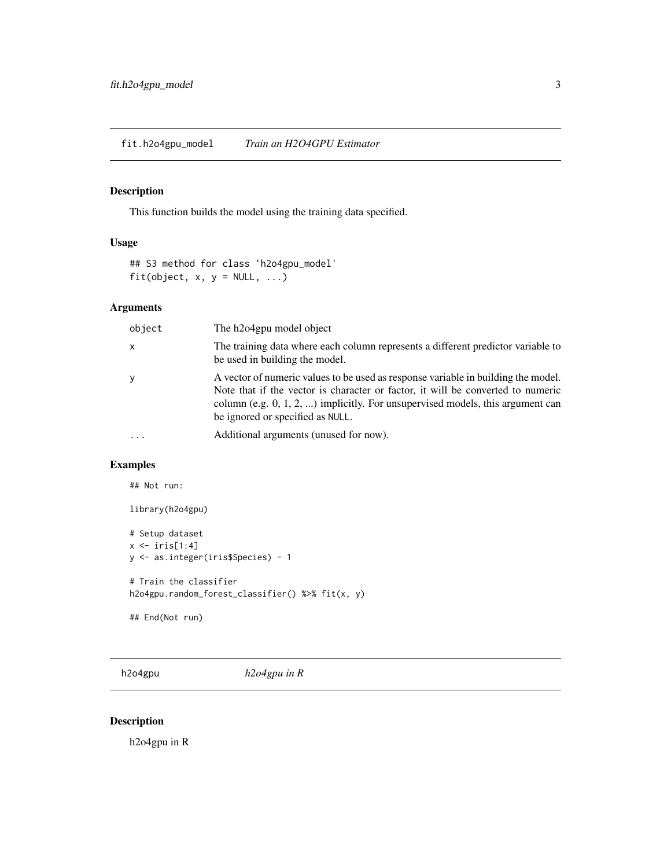#### <span id="page-2-0"></span>Description

This function builds the model using the training data specified.

#### Usage

```
## S3 method for class 'h2o4gpu_model'
fit(object, x, y = NULL, ...)
```
#### Arguments

| object       | The h2o4gpu model object                                                                                                                                                                                                                                                                      |
|--------------|-----------------------------------------------------------------------------------------------------------------------------------------------------------------------------------------------------------------------------------------------------------------------------------------------|
| $\mathsf{x}$ | The training data where each column represents a different predictor variable to<br>be used in building the model.                                                                                                                                                                            |
| y            | A vector of numeric values to be used as response variable in building the model.<br>Note that if the vector is character or factor, it will be converted to numeric<br>column (e.g. $0, 1, 2, $ ) implicitly. For unsupervised models, this argument can<br>be ignored or specified as NULL. |
| $\ddotsc$    | Additional arguments (unused for now).                                                                                                                                                                                                                                                        |

#### Examples

## Not run:

```
library(h2o4gpu)
```

```
# Setup dataset
x \leftarrow \text{iris}[1:4]y <- as.integer(iris$Species) - 1
```

```
# Train the classifier
h2o4gpu.random_forest_classifier() %>% fit(x, y)
```

```
## End(Not run)
```
h2o4gpu *h2o4gpu in R*

#### Description

h2o4gpu in R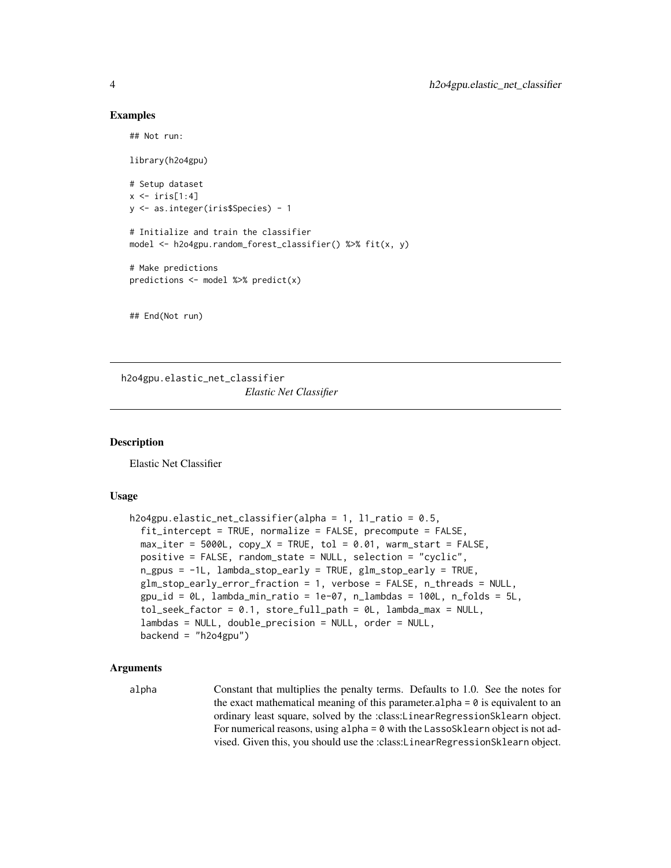#### Examples

## Not run:

library(h2o4gpu)

```
# Setup dataset
x \leftarrow \text{iris}[1:4]y <- as.integer(iris$Species) - 1
```
# Initialize and train the classifier model <- h2o4gpu.random\_forest\_classifier() %>% fit(x, y)

```
# Make predictions
predictions <- model %>% predict(x)
```
## End(Not run)

h2o4gpu.elastic\_net\_classifier *Elastic Net Classifier*

#### **Description**

Elastic Net Classifier

#### Usage

```
h2o4gpu.elastic_net_classifier(alpha = 1, l1_ratio = 0.5,
  fit_intercept = TRUE, normalize = FALSE, precompute = FALSE,
  max\_iter = 5000L, copy_X = TRUE, tol = 0.01, warm_start = FALSE,
 positive = FALSE, random_state = NULL, selection = "cyclic",
  n_gpus = -1L, lambda_stop_early = TRUE, glm_stop_early = TRUE,
  glm_stop_early_error_fraction = 1, verbose = FALSE, n_threads = NULL,
  gpu_id = 0L, lambda_min\_ratio = 1e-07, n\_lambda = 100L, n_folds = 5L,
  tol_seek_factor = 0.1, store_full_path = 0L, lambda_max = NULL,
  lambdas = NULL, double_precision = NULL, order = NULL,
  backend = "h2o4gpu")
```
#### Arguments

alpha Constant that multiplies the penalty terms. Defaults to 1.0. See the notes for the exact mathematical meaning of this parameter.  $a$ lpha = 0 is equivalent to an ordinary least square, solved by the :class:LinearRegressionSklearn object. For numerical reasons, using  $alpha = 0$  with the LassoSklearn object is not advised. Given this, you should use the :class:LinearRegressionSklearn object.

<span id="page-3-0"></span>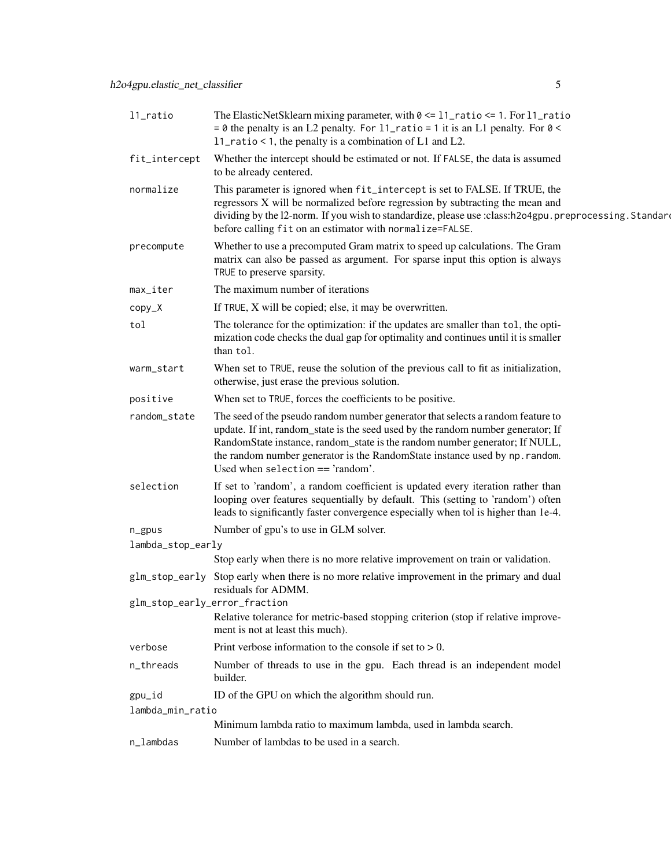| 11_ratio                      | The ElasticNetSklearn mixing parameter, with $0 \le 11$ ratio $\le 1$ . For $11$ ratio<br>$= 0$ the penalty is an L2 penalty. For 11_ratio = 1 it is an L1 penalty. For 0 <<br>11_ratio < 1, the penalty is a combination of L1 and L2.                                                                                                                                 |
|-------------------------------|-------------------------------------------------------------------------------------------------------------------------------------------------------------------------------------------------------------------------------------------------------------------------------------------------------------------------------------------------------------------------|
| fit_intercept                 | Whether the intercept should be estimated or not. If FALSE, the data is assumed<br>to be already centered.                                                                                                                                                                                                                                                              |
| normalize                     | This parameter is ignored when fit_intercept is set to FALSE. If TRUE, the<br>regressors X will be normalized before regression by subtracting the mean and<br>dividing by the 12-norm. If you wish to standardize, please use :class:h2o4gpu.preprocessing.Standard<br>before calling fit on an estimator with normalize=FALSE.                                        |
| precompute                    | Whether to use a precomputed Gram matrix to speed up calculations. The Gram<br>matrix can also be passed as argument. For sparse input this option is always<br>TRUE to preserve sparsity.                                                                                                                                                                              |
| max_iter                      | The maximum number of iterations                                                                                                                                                                                                                                                                                                                                        |
| $copy_X$                      | If TRUE, X will be copied; else, it may be overwritten.                                                                                                                                                                                                                                                                                                                 |
| tol                           | The tolerance for the optimization: if the updates are smaller than tol, the opti-<br>mization code checks the dual gap for optimality and continues until it is smaller<br>than tol.                                                                                                                                                                                   |
| warm_start                    | When set to TRUE, reuse the solution of the previous call to fit as initialization,<br>otherwise, just erase the previous solution.                                                                                                                                                                                                                                     |
| positive                      | When set to TRUE, forces the coefficients to be positive.                                                                                                                                                                                                                                                                                                               |
| random_state                  | The seed of the pseudo random number generator that selects a random feature to<br>update. If int, random_state is the seed used by the random number generator; If<br>RandomState instance, random_state is the random number generator; If NULL,<br>the random number generator is the RandomState instance used by np. random.<br>Used when selection $==$ 'random'. |
| selection                     | If set to 'random', a random coefficient is updated every iteration rather than<br>looping over features sequentially by default. This (setting to 'random') often<br>leads to significantly faster convergence especially when tol is higher than 1e-4.                                                                                                                |
| $n$ gpus                      | Number of gpu's to use in GLM solver.                                                                                                                                                                                                                                                                                                                                   |
| lambda_stop_early             |                                                                                                                                                                                                                                                                                                                                                                         |
|                               | Stop early when there is no more relative improvement on train or validation.                                                                                                                                                                                                                                                                                           |
| glm_stop_early                | Stop early when there is no more relative improvement in the primary and dual<br>residuals for ADMM.                                                                                                                                                                                                                                                                    |
| glm_stop_early_error_fraction | Relative tolerance for metric-based stopping criterion (stop if relative improve-<br>ment is not at least this much).                                                                                                                                                                                                                                                   |
| verbose                       | Print verbose information to the console if set to $> 0$ .                                                                                                                                                                                                                                                                                                              |
| n_threads                     | Number of threads to use in the gpu. Each thread is an independent model<br>builder.                                                                                                                                                                                                                                                                                    |
| gpu_id                        | ID of the GPU on which the algorithm should run.                                                                                                                                                                                                                                                                                                                        |
| lambda_min_ratio              |                                                                                                                                                                                                                                                                                                                                                                         |
|                               | Minimum lambda ratio to maximum lambda, used in lambda search.                                                                                                                                                                                                                                                                                                          |
| n_lambdas                     | Number of lambdas to be used in a search.                                                                                                                                                                                                                                                                                                                               |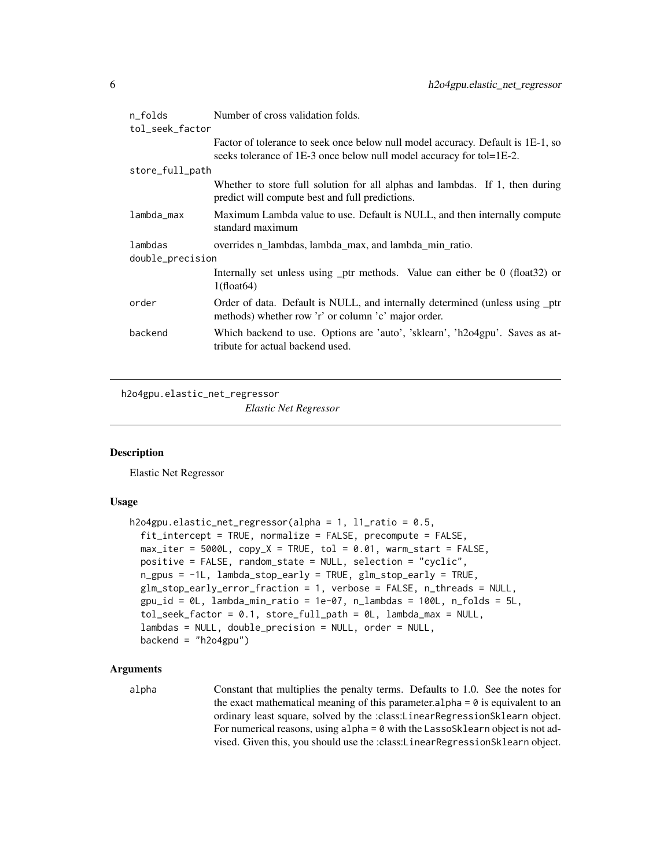<span id="page-5-0"></span>

| n_folds          | Number of cross validation folds.                                                                                                                       |  |
|------------------|---------------------------------------------------------------------------------------------------------------------------------------------------------|--|
| tol_seek_factor  |                                                                                                                                                         |  |
|                  | Factor of tolerance to seek once below null model accuracy. Default is 1E-1, so<br>seeks tolerance of 1E-3 once below null model accuracy for tol=1E-2. |  |
| store_full_path  |                                                                                                                                                         |  |
|                  | Whether to store full solution for all alphas and lambdas. If 1, then during<br>predict will compute best and full predictions.                         |  |
| lambda_max       | Maximum Lambda value to use. Default is NULL, and then internally compute<br>standard maximum                                                           |  |
| lambdas          | overrides n lambdas, lambda max, and lambda min ratio.                                                                                                  |  |
| double_precision |                                                                                                                                                         |  |
|                  | Internally set unless using _ptr methods. Value can either be 0 (float32) or<br>$1(f$ float $64)$                                                       |  |
| order            | Order of data. Default is NULL, and internally determined (unless using _ptr<br>methods) whether row 'r' or column 'c' major order.                     |  |
| backend          | Which backend to use. Options are 'auto', 'sklearn', 'h2o4gpu'. Saves as at-<br>tribute for actual backend used.                                        |  |
|                  |                                                                                                                                                         |  |

```
h2o4gpu.elastic_net_regressor
```
*Elastic Net Regressor*

#### **Description**

Elastic Net Regressor

#### Usage

```
h2o4gpu.elastic_net_regressor(alpha = 1, l1_ratio = 0.5,
  fit_intercept = TRUE, normalize = FALSE, precompute = FALSE,
 max\_iter = 5000L, copy_X = TRUE, tol = 0.01, warm_start = FALSE,
  positive = FALSE, random_state = NULL, selection = "cyclic",
  n_gpus = -1L, lambda_stop_early = TRUE, glm_stop_early = TRUE,
  glm_stop_early_error_fraction = 1, verbose = FALSE, n_threads = NULL,
  gpu_id = 0L, lambda_min_ratio = 1e-07, n_lambdas = 100L, n_folds = 5L,
  tol_seek_factor = 0.1, store_full_path = 0L, lambda_max = NULL,
  lambdas = NULL, double_precision = NULL, order = NULL,
  backend = "h2o4gpu")
```
#### Arguments

alpha Constant that multiplies the penalty terms. Defaults to 1.0. See the notes for the exact mathematical meaning of this parameter. alpha =  $\theta$  is equivalent to an ordinary least square, solved by the :class:LinearRegressionSklearn object. For numerical reasons, using  $alpha = 0$  with the LassoSklearn object is not advised. Given this, you should use the :class:LinearRegressionSklearn object.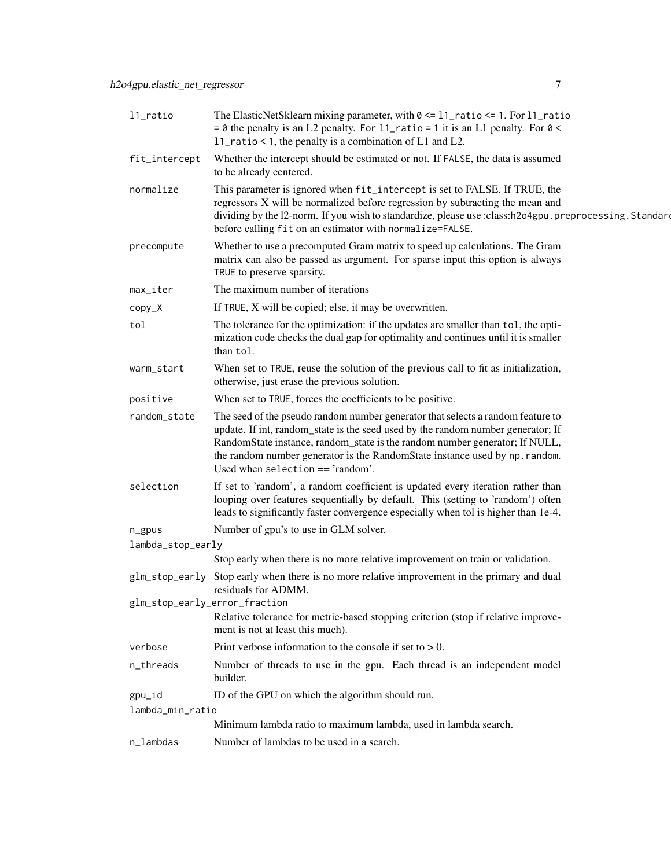| 11_ratio                      | The ElasticNetSklearn mixing parameter, with $0 \le 11$ ratio $\le 1$ . For $11$ ratio<br>= $\theta$ the penalty is an L2 penalty. For 11_ratio = 1 it is an L1 penalty. For $0 <$<br>11_ratio < 1, the penalty is a combination of $L1$ and $L2$ .                                                                                                                     |
|-------------------------------|-------------------------------------------------------------------------------------------------------------------------------------------------------------------------------------------------------------------------------------------------------------------------------------------------------------------------------------------------------------------------|
| fit_intercept                 | Whether the intercept should be estimated or not. If FALSE, the data is assumed<br>to be already centered.                                                                                                                                                                                                                                                              |
| normalize                     | This parameter is ignored when fit_intercept is set to FALSE. If TRUE, the<br>regressors X will be normalized before regression by subtracting the mean and<br>dividing by the 12-norm. If you wish to standardize, please use :class:h2o4gpu.preprocessing.Standard<br>before calling fit on an estimator with normalize=FALSE.                                        |
| precompute                    | Whether to use a precomputed Gram matrix to speed up calculations. The Gram<br>matrix can also be passed as argument. For sparse input this option is always<br>TRUE to preserve sparsity.                                                                                                                                                                              |
| max_iter                      | The maximum number of iterations                                                                                                                                                                                                                                                                                                                                        |
| $copy_X$                      | If TRUE, X will be copied; else, it may be overwritten.                                                                                                                                                                                                                                                                                                                 |
| tol                           | The tolerance for the optimization: if the updates are smaller than tol, the opti-<br>mization code checks the dual gap for optimality and continues until it is smaller<br>than tol.                                                                                                                                                                                   |
| warm_start                    | When set to TRUE, reuse the solution of the previous call to fit as initialization,<br>otherwise, just erase the previous solution.                                                                                                                                                                                                                                     |
| positive                      | When set to TRUE, forces the coefficients to be positive.                                                                                                                                                                                                                                                                                                               |
| random_state                  | The seed of the pseudo random number generator that selects a random feature to<br>update. If int, random_state is the seed used by the random number generator; If<br>RandomState instance, random_state is the random number generator; If NULL,<br>the random number generator is the RandomState instance used by np. random.<br>Used when selection $==$ 'random'. |
| selection                     | If set to 'random', a random coefficient is updated every iteration rather than<br>looping over features sequentially by default. This (setting to 'random') often<br>leads to significantly faster convergence especially when tol is higher than 1e-4.                                                                                                                |
| n_gpus                        | Number of gpu's to use in GLM solver.                                                                                                                                                                                                                                                                                                                                   |
| lambda_stop_early             |                                                                                                                                                                                                                                                                                                                                                                         |
|                               | Stop early when there is no more relative improvement on train or validation.                                                                                                                                                                                                                                                                                           |
| glm_stop_early                | Stop early when there is no more relative improvement in the primary and dual<br>residuals for ADMM.                                                                                                                                                                                                                                                                    |
| glm_stop_early_error_fraction | Relative tolerance for metric-based stopping criterion (stop if relative improve-<br>ment is not at least this much).                                                                                                                                                                                                                                                   |
| verbose                       | Print verbose information to the console if set to $> 0$ .                                                                                                                                                                                                                                                                                                              |
| n_threads                     | Number of threads to use in the gpu. Each thread is an independent model<br>builder.                                                                                                                                                                                                                                                                                    |
| gpu_id                        | ID of the GPU on which the algorithm should run.                                                                                                                                                                                                                                                                                                                        |
| lambda_min_ratio              |                                                                                                                                                                                                                                                                                                                                                                         |
|                               | Minimum lambda ratio to maximum lambda, used in lambda search.                                                                                                                                                                                                                                                                                                          |
| n_lambdas                     | Number of lambdas to be used in a search.                                                                                                                                                                                                                                                                                                                               |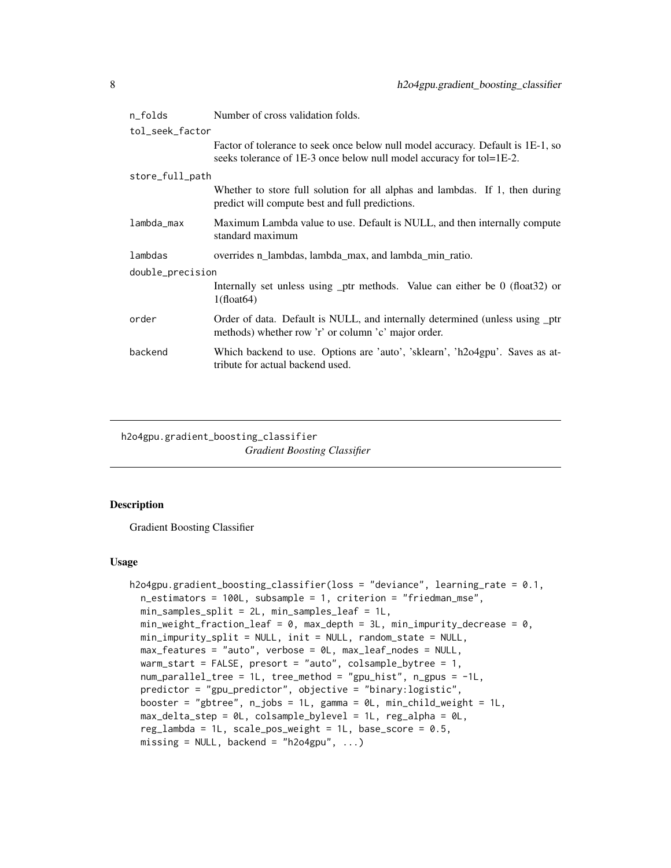<span id="page-7-0"></span>

| n_folds          | Number of cross validation folds.                                                                                                                       |  |
|------------------|---------------------------------------------------------------------------------------------------------------------------------------------------------|--|
| tol_seek_factor  |                                                                                                                                                         |  |
|                  | Factor of tolerance to seek once below null model accuracy. Default is 1E-1, so<br>seeks tolerance of 1E-3 once below null model accuracy for tol=1E-2. |  |
| store_full_path  |                                                                                                                                                         |  |
|                  | Whether to store full solution for all alphas and lambdas. If 1, then during<br>predict will compute best and full predictions.                         |  |
| lambda_max       | Maximum Lambda value to use. Default is NULL, and then internally compute<br>standard maximum                                                           |  |
| lambdas          | overrides n_lambdas, lambda_max, and lambda_min_ratio.                                                                                                  |  |
| double_precision |                                                                                                                                                         |  |
|                  | Internally set unless using $_{\rm{ptr}}$ methods. Value can either be 0 (float 32) or<br>$1(f$ loat $64)$                                              |  |
| order            | Order of data. Default is NULL, and internally determined (unless using ptr<br>methods) whether row 'r' or column 'c' major order.                      |  |
| backend          | Which backend to use. Options are 'auto', 'sklearn', 'h2o4gpu'. Saves as at-<br>tribute for actual backend used.                                        |  |

h2o4gpu.gradient\_boosting\_classifier *Gradient Boosting Classifier*

#### Description

Gradient Boosting Classifier

#### Usage

```
h2o4gpu.gradient_boosting_classifier(loss = "deviance", learning_rate = 0.1,
  n_estimators = 100L, subsample = 1, criterion = "friedman_mse",
  min_samples_split = 2L, min_samples_leaf = 1L,
  min\_weight\_fraction\_leaf = 0, max\_depth = 3L, min\_impurity\_decrease = 0,
  min_impurity_split = NULL, init = NULL, random_state = NULL,
  max_features = "auto", verbose = 0L, max_leaf_nodes = NULL,
  warm_start = FALSE, presort = "auto", colsample_bytree = 1,
  num_parallel_tree = 1L, tree_method = "gpu_hist", n_gpus = -1L,
  predictor = "gpu_predictor", objective = "binary:logistic",
  booster = "gbtree", n_{j}obs = 1L, gamma = 0L, min_child_weight = 1L,
  max_delta_step = 0L, colsample_bylevel = 1L, reg_alpha = 0L,
  reg_lambda = 1L, scale_pos_weight = 1L, base_score = 0.5,
  missing = NULL, backend = "h2o4gpu", \ldots)
```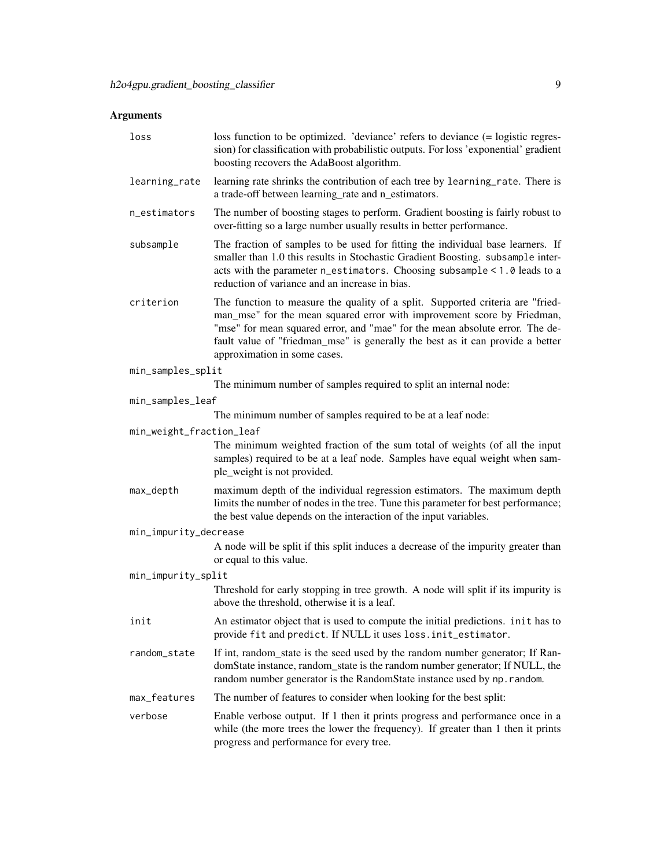| loss                     | loss function to be optimized. 'deviance' refers to deviance (= logistic regres-<br>sion) for classification with probabilistic outputs. For loss 'exponential' gradient<br>boosting recovers the AdaBoost algorithm.                                                                                                                                       |
|--------------------------|-------------------------------------------------------------------------------------------------------------------------------------------------------------------------------------------------------------------------------------------------------------------------------------------------------------------------------------------------------------|
| learning_rate            | learning rate shrinks the contribution of each tree by learning_rate. There is<br>a trade-off between learning_rate and n_estimators.                                                                                                                                                                                                                       |
| n_estimators             | The number of boosting stages to perform. Gradient boosting is fairly robust to<br>over-fitting so a large number usually results in better performance.                                                                                                                                                                                                    |
| subsample                | The fraction of samples to be used for fitting the individual base learners. If<br>smaller than 1.0 this results in Stochastic Gradient Boosting. subsample inter-<br>acts with the parameter n_estimators. Choosing subsample < 1.0 leads to a<br>reduction of variance and an increase in bias.                                                           |
| criterion                | The function to measure the quality of a split. Supported criteria are "fried-<br>man_mse" for the mean squared error with improvement score by Friedman,<br>"mse" for mean squared error, and "mae" for the mean absolute error. The de-<br>fault value of "friedman_mse" is generally the best as it can provide a better<br>approximation in some cases. |
| min_samples_split        |                                                                                                                                                                                                                                                                                                                                                             |
|                          | The minimum number of samples required to split an internal node:                                                                                                                                                                                                                                                                                           |
| min_samples_leaf         |                                                                                                                                                                                                                                                                                                                                                             |
|                          | The minimum number of samples required to be at a leaf node:                                                                                                                                                                                                                                                                                                |
| min_weight_fraction_leaf | The minimum weighted fraction of the sum total of weights (of all the input<br>samples) required to be at a leaf node. Samples have equal weight when sam-<br>ple_weight is not provided.                                                                                                                                                                   |
| max_depth                | maximum depth of the individual regression estimators. The maximum depth<br>limits the number of nodes in the tree. Tune this parameter for best performance;<br>the best value depends on the interaction of the input variables.                                                                                                                          |
| min_impurity_decrease    |                                                                                                                                                                                                                                                                                                                                                             |
|                          | A node will be split if this split induces a decrease of the impurity greater than<br>or equal to this value.                                                                                                                                                                                                                                               |
| min_impurity_split       |                                                                                                                                                                                                                                                                                                                                                             |
|                          | Threshold for early stopping in tree growth. A node will split if its impurity is<br>above the threshold, otherwise it is a leaf.                                                                                                                                                                                                                           |
| init                     | An estimator object that is used to compute the initial predictions. in it has to<br>provide fit and predict. If NULL it uses loss. init_estimator.                                                                                                                                                                                                         |
| random_state             | If int, random_state is the seed used by the random number generator; If Ran-<br>domState instance, random_state is the random number generator; If NULL, the<br>random number generator is the RandomState instance used by np. random.                                                                                                                    |
| max_features             | The number of features to consider when looking for the best split:                                                                                                                                                                                                                                                                                         |
| verbose                  | Enable verbose output. If 1 then it prints progress and performance once in a<br>while (the more trees the lower the frequency). If greater than 1 then it prints<br>progress and performance for every tree.                                                                                                                                               |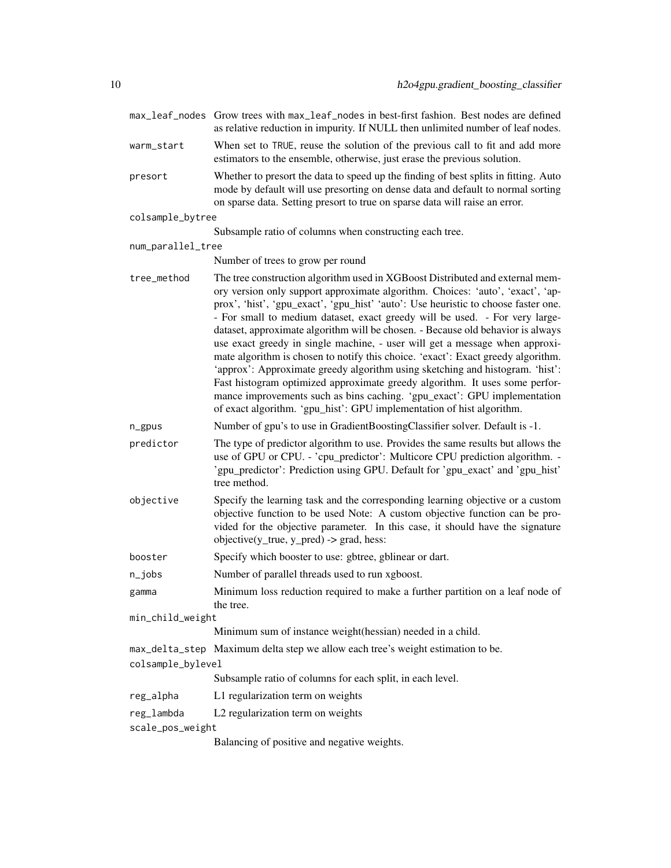|                   | max_leaf_nodes Grow trees with max_leaf_nodes in best-first fashion. Best nodes are defined<br>as relative reduction in impurity. If NULL then unlimited number of leaf nodes.                                                                                                                                                                                                                                                                                                                                                                                                                                                                                                                                                                                                                                                                                                                                  |
|-------------------|-----------------------------------------------------------------------------------------------------------------------------------------------------------------------------------------------------------------------------------------------------------------------------------------------------------------------------------------------------------------------------------------------------------------------------------------------------------------------------------------------------------------------------------------------------------------------------------------------------------------------------------------------------------------------------------------------------------------------------------------------------------------------------------------------------------------------------------------------------------------------------------------------------------------|
| warm_start        | When set to TRUE, reuse the solution of the previous call to fit and add more<br>estimators to the ensemble, otherwise, just erase the previous solution.                                                                                                                                                                                                                                                                                                                                                                                                                                                                                                                                                                                                                                                                                                                                                       |
| presort           | Whether to presort the data to speed up the finding of best splits in fitting. Auto<br>mode by default will use presorting on dense data and default to normal sorting<br>on sparse data. Setting presort to true on sparse data will raise an error.                                                                                                                                                                                                                                                                                                                                                                                                                                                                                                                                                                                                                                                           |
| colsample_bytree  |                                                                                                                                                                                                                                                                                                                                                                                                                                                                                                                                                                                                                                                                                                                                                                                                                                                                                                                 |
|                   | Subsample ratio of columns when constructing each tree.                                                                                                                                                                                                                                                                                                                                                                                                                                                                                                                                                                                                                                                                                                                                                                                                                                                         |
| num_parallel_tree |                                                                                                                                                                                                                                                                                                                                                                                                                                                                                                                                                                                                                                                                                                                                                                                                                                                                                                                 |
|                   | Number of trees to grow per round                                                                                                                                                                                                                                                                                                                                                                                                                                                                                                                                                                                                                                                                                                                                                                                                                                                                               |
| tree_method       | The tree construction algorithm used in XGBoost Distributed and external mem-<br>ory version only support approximate algorithm. Choices: 'auto', 'exact', 'ap-<br>prox', 'hist', 'gpu_exact', 'gpu_hist' 'auto': Use heuristic to choose faster one.<br>- For small to medium dataset, exact greedy will be used. - For very large-<br>dataset, approximate algorithm will be chosen. - Because old behavior is always<br>use exact greedy in single machine, - user will get a message when approxi-<br>mate algorithm is chosen to notify this choice. 'exact': Exact greedy algorithm.<br>'approx': Approximate greedy algorithm using sketching and histogram. 'hist':<br>Fast histogram optimized approximate greedy algorithm. It uses some perfor-<br>mance improvements such as bins caching. 'gpu_exact': GPU implementation<br>of exact algorithm. 'gpu_hist': GPU implementation of hist algorithm. |
| n_gpus            | Number of gpu's to use in GradientBoostingClassifier solver. Default is -1.                                                                                                                                                                                                                                                                                                                                                                                                                                                                                                                                                                                                                                                                                                                                                                                                                                     |
| predictor         | The type of predictor algorithm to use. Provides the same results but allows the<br>use of GPU or CPU. - 'cpu_predictor': Multicore CPU prediction algorithm. -<br>'gpu_predictor': Prediction using GPU. Default for 'gpu_exact' and 'gpu_hist'<br>tree method.                                                                                                                                                                                                                                                                                                                                                                                                                                                                                                                                                                                                                                                |
| objective         | Specify the learning task and the corresponding learning objective or a custom<br>objective function to be used Note: A custom objective function can be pro-<br>vided for the objective parameter. In this case, it should have the signature<br>objective( $y$ _true, $y$ _pred) -> grad, hess:                                                                                                                                                                                                                                                                                                                                                                                                                                                                                                                                                                                                               |
| booster           | Specify which booster to use: gbtree, gblinear or dart.                                                                                                                                                                                                                                                                                                                                                                                                                                                                                                                                                                                                                                                                                                                                                                                                                                                         |
| $n$ _jobs         | Number of parallel threads used to run xgboost.                                                                                                                                                                                                                                                                                                                                                                                                                                                                                                                                                                                                                                                                                                                                                                                                                                                                 |
| gamma             | Minimum loss reduction required to make a further partition on a leaf node of<br>the tree.                                                                                                                                                                                                                                                                                                                                                                                                                                                                                                                                                                                                                                                                                                                                                                                                                      |
| min_child_weight  |                                                                                                                                                                                                                                                                                                                                                                                                                                                                                                                                                                                                                                                                                                                                                                                                                                                                                                                 |
|                   | Minimum sum of instance weight(hessian) needed in a child.                                                                                                                                                                                                                                                                                                                                                                                                                                                                                                                                                                                                                                                                                                                                                                                                                                                      |
| colsample_bylevel | max_delta_step Maximum delta step we allow each tree's weight estimation to be.                                                                                                                                                                                                                                                                                                                                                                                                                                                                                                                                                                                                                                                                                                                                                                                                                                 |
|                   | Subsample ratio of columns for each split, in each level.                                                                                                                                                                                                                                                                                                                                                                                                                                                                                                                                                                                                                                                                                                                                                                                                                                                       |
| reg_alpha         | L1 regularization term on weights                                                                                                                                                                                                                                                                                                                                                                                                                                                                                                                                                                                                                                                                                                                                                                                                                                                                               |
| reg_lambda        | L2 regularization term on weights                                                                                                                                                                                                                                                                                                                                                                                                                                                                                                                                                                                                                                                                                                                                                                                                                                                                               |
| scale_pos_weight  |                                                                                                                                                                                                                                                                                                                                                                                                                                                                                                                                                                                                                                                                                                                                                                                                                                                                                                                 |
|                   |                                                                                                                                                                                                                                                                                                                                                                                                                                                                                                                                                                                                                                                                                                                                                                                                                                                                                                                 |

Balancing of positive and negative weights.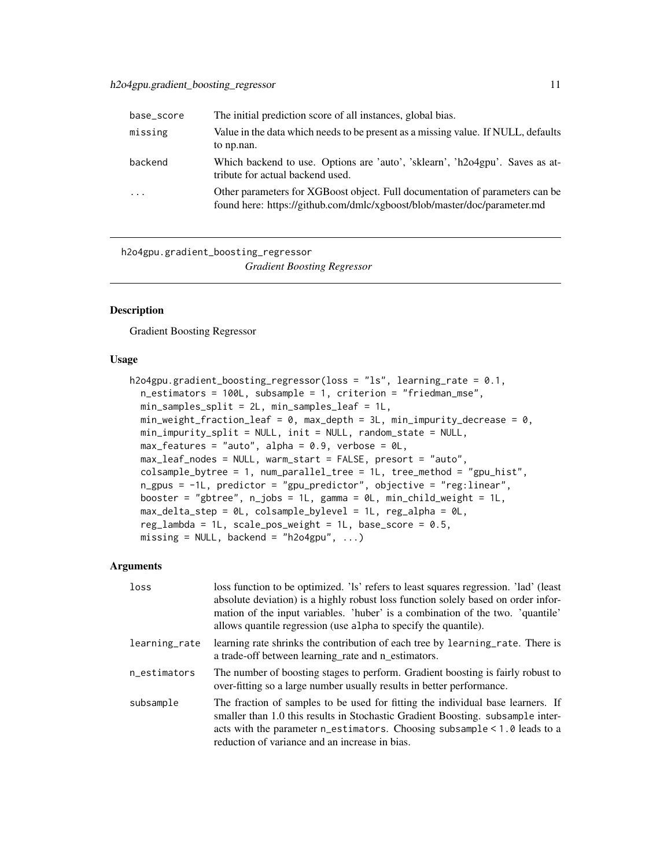<span id="page-10-0"></span>

| base_score          | The initial prediction score of all instances, global bias.                                                                                              |
|---------------------|----------------------------------------------------------------------------------------------------------------------------------------------------------|
| missing             | Value in the data which needs to be present as a missing value. If NULL, defaults<br>to np.nan.                                                          |
| backend             | Which backend to use. Options are 'auto', 'sklearn', 'h2o4gpu'. Saves as at-<br>tribute for actual backend used.                                         |
| $\cdot \cdot \cdot$ | Other parameters for XGBoost object. Full documentation of parameters can be<br>found here: https://github.com/dmlc/xgboost/blob/master/doc/parameter.md |

h2o4gpu.gradient\_boosting\_regressor *Gradient Boosting Regressor*

#### Description

Gradient Boosting Regressor

#### Usage

```
h2o4gpu.gradient_boosting_regressor(loss = "ls", learning_rate = 0.1,
 n_estimators = 100L, subsample = 1, criterion = "friedman_mse",
 min_samples_split = 2L, min_samples_leaf = 1L,
 min\_weight\_fraction\_leaf = 0, max\_depth = 3L, min\_impurity\_decrease = 0,
 min_impurity_split = NULL, init = NULL, random_state = NULL,
 max_features = "auto", alpha = 0.9, verbose = 0L,
 max_leaf_nodes = NULL, warm_start = FALSE, presort = "auto",
 colsample_bytree = 1, num_parallel_tree = 1L, tree_method = "gpu_hist",
 n_gpus = -1L, predictor = "gpu_predictor", objective = "reg:linear",
 booster = "gbtree", n_jjobs = 1L, gamma = 0L, min_child_weight = 1L,
 max_delta_step = 0L, colsample_bylevel = 1L, reg_alpha = 0L,
 reg_lambda = 1L, scale_pos_weight = 1L, base_score = 0.5,
 missing = NULL, backend = "h2o4gpu", \ldots)
```

| loss          | loss function to be optimized. 'Is' refers to least squares regression. 'lad' (least<br>absolute deviation) is a highly robust loss function solely based on order infor-<br>mation of the input variables. 'huber' is a combination of the two. 'quantile'<br>allows quantile regression (use alpha to specify the quantile). |
|---------------|--------------------------------------------------------------------------------------------------------------------------------------------------------------------------------------------------------------------------------------------------------------------------------------------------------------------------------|
| learning_rate | learning rate shrinks the contribution of each tree by learning rate. There is<br>a trade-off between learning rate and n_estimators.                                                                                                                                                                                          |
| n estimators  | The number of boosting stages to perform. Gradient boosting is fairly robust to<br>over-fitting so a large number usually results in better performance.                                                                                                                                                                       |
| subsample     | The fraction of samples to be used for fitting the individual base learners. If<br>smaller than 1.0 this results in Stochastic Gradient Boosting. subsample inter-<br>acts with the parameter n_estimators. Choosing subsample < 1.0 leads to a<br>reduction of variance and an increase in bias.                              |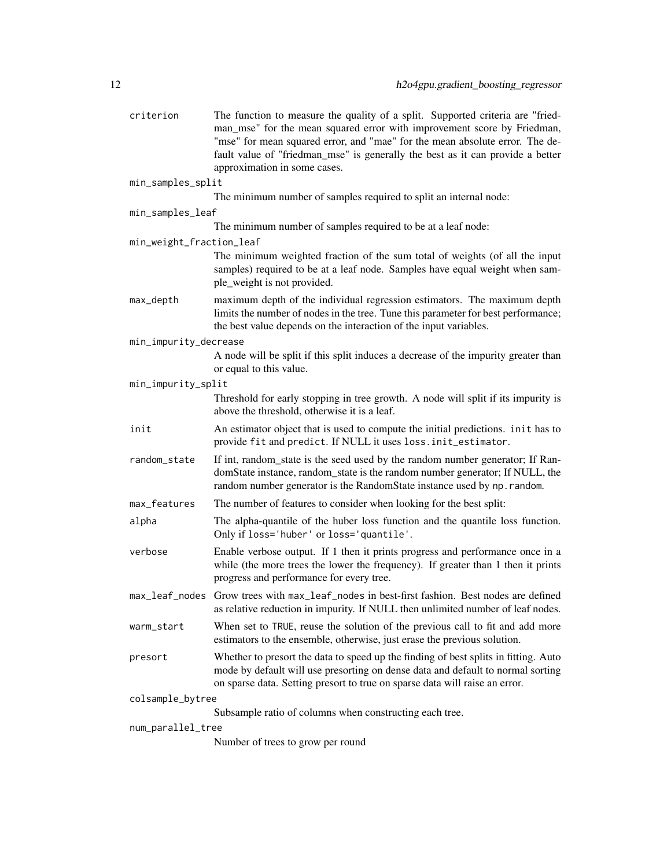| criterion                | The function to measure the quality of a split. Supported criteria are "fried-<br>man_mse" for the mean squared error with improvement score by Friedman,<br>"mse" for mean squared error, and "mae" for the mean absolute error. The de-<br>fault value of "friedman_mse" is generally the best as it can provide a better<br>approximation in some cases. |
|--------------------------|-------------------------------------------------------------------------------------------------------------------------------------------------------------------------------------------------------------------------------------------------------------------------------------------------------------------------------------------------------------|
| min_samples_split        |                                                                                                                                                                                                                                                                                                                                                             |
|                          | The minimum number of samples required to split an internal node:                                                                                                                                                                                                                                                                                           |
| min_samples_leaf         |                                                                                                                                                                                                                                                                                                                                                             |
|                          | The minimum number of samples required to be at a leaf node:                                                                                                                                                                                                                                                                                                |
| min_weight_fraction_leaf |                                                                                                                                                                                                                                                                                                                                                             |
|                          | The minimum weighted fraction of the sum total of weights (of all the input<br>samples) required to be at a leaf node. Samples have equal weight when sam-<br>ple_weight is not provided.                                                                                                                                                                   |
| max_depth                | maximum depth of the individual regression estimators. The maximum depth<br>limits the number of nodes in the tree. Tune this parameter for best performance;<br>the best value depends on the interaction of the input variables.                                                                                                                          |
| min_impurity_decrease    |                                                                                                                                                                                                                                                                                                                                                             |
|                          | A node will be split if this split induces a decrease of the impurity greater than<br>or equal to this value.                                                                                                                                                                                                                                               |
| min_impurity_split       |                                                                                                                                                                                                                                                                                                                                                             |
|                          | Threshold for early stopping in tree growth. A node will split if its impurity is<br>above the threshold, otherwise it is a leaf.                                                                                                                                                                                                                           |
| init                     | An estimator object that is used to compute the initial predictions. init has to<br>provide fit and predict. If NULL it uses loss. init_estimator.                                                                                                                                                                                                          |
| random_state             | If int, random_state is the seed used by the random number generator; If Ran-<br>domState instance, random_state is the random number generator; If NULL, the<br>random number generator is the RandomState instance used by np. random.                                                                                                                    |
| max_features             | The number of features to consider when looking for the best split:                                                                                                                                                                                                                                                                                         |
| alpha                    | The alpha-quantile of the huber loss function and the quantile loss function.<br>Only if loss='huber' or loss='quantile'.                                                                                                                                                                                                                                   |
| verbose                  | Enable verbose output. If 1 then it prints progress and performance once in a<br>while (the more trees the lower the frequency). If greater than 1 then it prints<br>progress and performance for every tree.                                                                                                                                               |
|                          | max_leaf_nodes Grow trees with max_leaf_nodes in best-first fashion. Best nodes are defined<br>as relative reduction in impurity. If NULL then unlimited number of leaf nodes.                                                                                                                                                                              |
| warm_start               | When set to TRUE, reuse the solution of the previous call to fit and add more<br>estimators to the ensemble, otherwise, just erase the previous solution.                                                                                                                                                                                                   |
| presort                  | Whether to presort the data to speed up the finding of best splits in fitting. Auto<br>mode by default will use presorting on dense data and default to normal sorting<br>on sparse data. Setting presort to true on sparse data will raise an error.                                                                                                       |
| colsample_bytree         |                                                                                                                                                                                                                                                                                                                                                             |
|                          | Subsample ratio of columns when constructing each tree.                                                                                                                                                                                                                                                                                                     |
| num_parallel_tree        |                                                                                                                                                                                                                                                                                                                                                             |

Number of trees to grow per round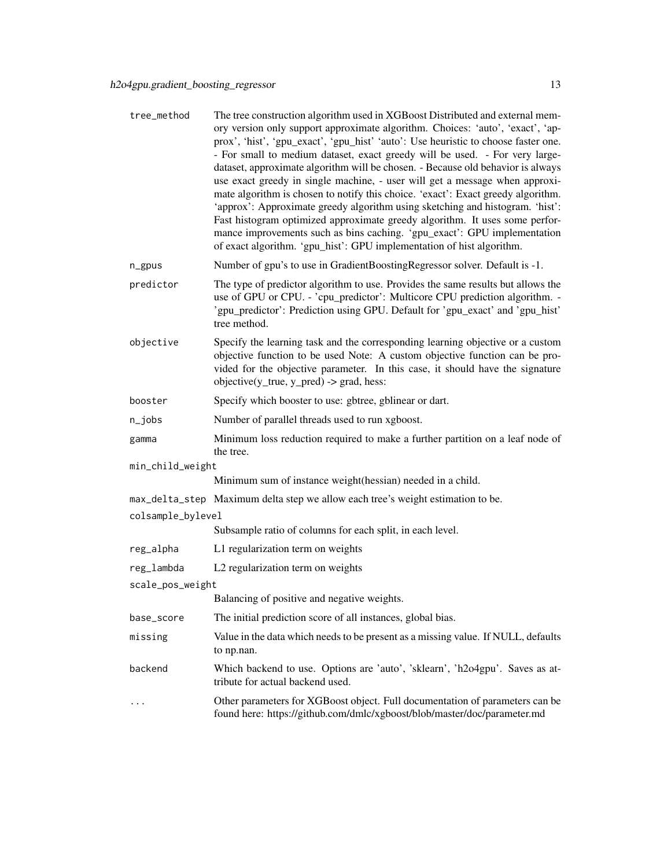| tree_method                                                                    | The tree construction algorithm used in XGBoost Distributed and external mem-<br>ory version only support approximate algorithm. Choices: 'auto', 'exact', 'ap-<br>prox', 'hist', 'gpu_exact', 'gpu_hist' 'auto': Use heuristic to choose faster one.<br>- For small to medium dataset, exact greedy will be used. - For very large-<br>dataset, approximate algorithm will be chosen. - Because old behavior is always<br>use exact greedy in single machine, - user will get a message when approxi-<br>mate algorithm is chosen to notify this choice. 'exact': Exact greedy algorithm.<br>'approx': Approximate greedy algorithm using sketching and histogram. 'hist':<br>Fast histogram optimized approximate greedy algorithm. It uses some perfor-<br>mance improvements such as bins caching. 'gpu_exact': GPU implementation<br>of exact algorithm. 'gpu_hist': GPU implementation of hist algorithm. |  |
|--------------------------------------------------------------------------------|-----------------------------------------------------------------------------------------------------------------------------------------------------------------------------------------------------------------------------------------------------------------------------------------------------------------------------------------------------------------------------------------------------------------------------------------------------------------------------------------------------------------------------------------------------------------------------------------------------------------------------------------------------------------------------------------------------------------------------------------------------------------------------------------------------------------------------------------------------------------------------------------------------------------|--|
| n_gpus                                                                         | Number of gpu's to use in GradientBoostingRegressor solver. Default is -1.                                                                                                                                                                                                                                                                                                                                                                                                                                                                                                                                                                                                                                                                                                                                                                                                                                      |  |
| predictor                                                                      | The type of predictor algorithm to use. Provides the same results but allows the<br>use of GPU or CPU. - 'cpu_predictor': Multicore CPU prediction algorithm. -<br>'gpu_predictor': Prediction using GPU. Default for 'gpu_exact' and 'gpu_hist'<br>tree method.                                                                                                                                                                                                                                                                                                                                                                                                                                                                                                                                                                                                                                                |  |
| objective                                                                      | Specify the learning task and the corresponding learning objective or a custom<br>objective function to be used Note: A custom objective function can be pro-<br>vided for the objective parameter. In this case, it should have the signature<br>objective( $y$ _true, $y$ _pred) -> grad, hess:                                                                                                                                                                                                                                                                                                                                                                                                                                                                                                                                                                                                               |  |
| booster                                                                        | Specify which booster to use: gbtree, gblinear or dart.                                                                                                                                                                                                                                                                                                                                                                                                                                                                                                                                                                                                                                                                                                                                                                                                                                                         |  |
| $n$ _jobs                                                                      | Number of parallel threads used to run xgboost.                                                                                                                                                                                                                                                                                                                                                                                                                                                                                                                                                                                                                                                                                                                                                                                                                                                                 |  |
| gamma                                                                          | Minimum loss reduction required to make a further partition on a leaf node of<br>the tree.                                                                                                                                                                                                                                                                                                                                                                                                                                                                                                                                                                                                                                                                                                                                                                                                                      |  |
| min_child_weight                                                               |                                                                                                                                                                                                                                                                                                                                                                                                                                                                                                                                                                                                                                                                                                                                                                                                                                                                                                                 |  |
|                                                                                | Minimum sum of instance weight (hessian) needed in a child.                                                                                                                                                                                                                                                                                                                                                                                                                                                                                                                                                                                                                                                                                                                                                                                                                                                     |  |
|                                                                                | max_delta_step Maximum delta step we allow each tree's weight estimation to be.                                                                                                                                                                                                                                                                                                                                                                                                                                                                                                                                                                                                                                                                                                                                                                                                                                 |  |
| colsample_bylevel<br>Subsample ratio of columns for each split, in each level. |                                                                                                                                                                                                                                                                                                                                                                                                                                                                                                                                                                                                                                                                                                                                                                                                                                                                                                                 |  |
| reg_alpha                                                                      | L1 regularization term on weights                                                                                                                                                                                                                                                                                                                                                                                                                                                                                                                                                                                                                                                                                                                                                                                                                                                                               |  |
| reg_lambda                                                                     | L2 regularization term on weights                                                                                                                                                                                                                                                                                                                                                                                                                                                                                                                                                                                                                                                                                                                                                                                                                                                                               |  |
| scale_pos_weight                                                               |                                                                                                                                                                                                                                                                                                                                                                                                                                                                                                                                                                                                                                                                                                                                                                                                                                                                                                                 |  |
|                                                                                | Balancing of positive and negative weights.                                                                                                                                                                                                                                                                                                                                                                                                                                                                                                                                                                                                                                                                                                                                                                                                                                                                     |  |
| base_score                                                                     | The initial prediction score of all instances, global bias.                                                                                                                                                                                                                                                                                                                                                                                                                                                                                                                                                                                                                                                                                                                                                                                                                                                     |  |
| missing                                                                        | Value in the data which needs to be present as a missing value. If NULL, defaults<br>to np.nan.                                                                                                                                                                                                                                                                                                                                                                                                                                                                                                                                                                                                                                                                                                                                                                                                                 |  |
| backend                                                                        | Which backend to use. Options are 'auto', 'sklearn', 'h2o4gpu'. Saves as at-<br>tribute for actual backend used.                                                                                                                                                                                                                                                                                                                                                                                                                                                                                                                                                                                                                                                                                                                                                                                                |  |
|                                                                                | Other parameters for XGBoost object. Full documentation of parameters can be<br>found here: https://github.com/dmlc/xgboost/blob/master/doc/parameter.md                                                                                                                                                                                                                                                                                                                                                                                                                                                                                                                                                                                                                                                                                                                                                        |  |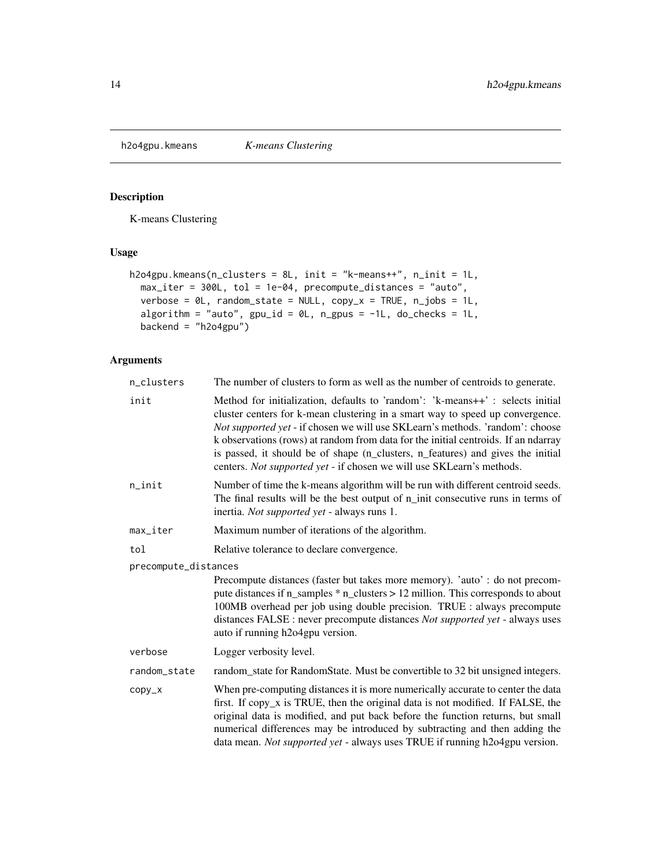<span id="page-13-0"></span>h2o4gpu.kmeans *K-means Clustering*

#### Description

K-means Clustering

#### Usage

```
h2o4gpu.kmeans(n_clusters = 8L, init = "k-means++", n_init = 1L,
 max_iter = 300L, tol = 1e-04, precompute_distances = "auto",
 verbose = 0L, random_state = NULL, copy_x = TRUE, n_jobs = 1L,
 algorithm = "auto", gpu_id = 0L, n_gpus = -1L, do_checks = 1L,
 backend = "h2o4gpu")
```

| n_clusters           | The number of clusters to form as well as the number of centroids to generate.                                                                                                                                                                                                                                                                                                                                                                                                                    |  |
|----------------------|---------------------------------------------------------------------------------------------------------------------------------------------------------------------------------------------------------------------------------------------------------------------------------------------------------------------------------------------------------------------------------------------------------------------------------------------------------------------------------------------------|--|
| init                 | Method for initialization, defaults to 'random': 'k-means++': selects initial<br>cluster centers for k-mean clustering in a smart way to speed up convergence.<br>Not supported yet - if chosen we will use SKLearn's methods. 'random': choose<br>k observations (rows) at random from data for the initial centroids. If an ndarray<br>is passed, it should be of shape (n_clusters, n_features) and gives the initial<br>centers. Not supported yet - if chosen we will use SKLearn's methods. |  |
| n_init               | Number of time the k-means algorithm will be run with different centroid seeds.<br>The final results will be the best output of n_init consecutive runs in terms of<br>inertia. Not supported yet - always runs 1.                                                                                                                                                                                                                                                                                |  |
| max_iter             | Maximum number of iterations of the algorithm.                                                                                                                                                                                                                                                                                                                                                                                                                                                    |  |
| tol                  | Relative tolerance to declare convergence.                                                                                                                                                                                                                                                                                                                                                                                                                                                        |  |
| precompute_distances |                                                                                                                                                                                                                                                                                                                                                                                                                                                                                                   |  |
|                      | Precompute distances (faster but takes more memory). 'auto': do not precom-<br>pute distances if n_samples * n_clusters > 12 million. This corresponds to about<br>100MB overhead per job using double precision. TRUE : always precompute<br>distances FALSE : never precompute distances Not supported yet - always uses<br>auto if running h2o4gpu version.                                                                                                                                    |  |
| verbose              | Logger verbosity level.                                                                                                                                                                                                                                                                                                                                                                                                                                                                           |  |
| random_state         | random_state for RandomState. Must be convertible to 32 bit unsigned integers.                                                                                                                                                                                                                                                                                                                                                                                                                    |  |
| CODY_X               | When pre-computing distances it is more numerically accurate to center the data<br>first. If copy_x is TRUE, then the original data is not modified. If FALSE, the<br>original data is modified, and put back before the function returns, but small<br>numerical differences may be introduced by subtracting and then adding the<br>data mean. Not supported yet - always uses TRUE if running h2o4gpu version.                                                                                 |  |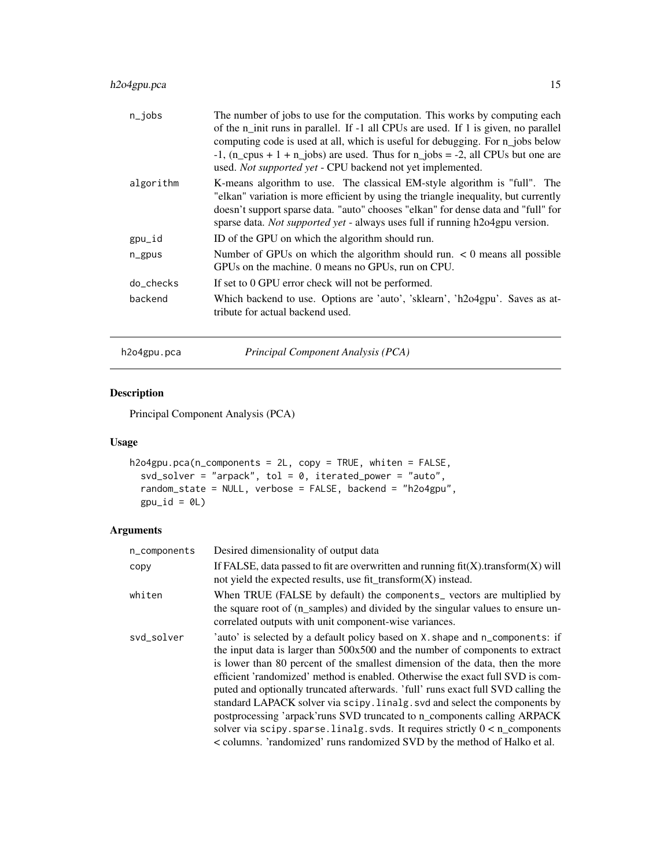#### <span id="page-14-0"></span>h2o4gpu.pca 15

| $n$ _jobs | The number of jobs to use for the computation. This works by computing each<br>of the n_init runs in parallel. If -1 all CPUs are used. If 1 is given, no parallel<br>computing code is used at all, which is useful for debugging. For n_jobs below<br>$-1$ , (n_cpus + 1 + n_jobs) are used. Thus for n_jobs = -2, all CPUs but one are<br>used. Not supported yet - CPU backend not yet implemented. |
|-----------|---------------------------------------------------------------------------------------------------------------------------------------------------------------------------------------------------------------------------------------------------------------------------------------------------------------------------------------------------------------------------------------------------------|
| algorithm | K-means algorithm to use. The classical EM-style algorithm is "full". The<br>"elkan" variation is more efficient by using the triangle inequality, but currently<br>doesn't support sparse data. "auto" chooses "elkan" for dense data and "full" for<br>sparse data. Not supported yet - always uses full if running h2o4gpu version.                                                                  |
| gpu_id    | ID of the GPU on which the algorithm should run.                                                                                                                                                                                                                                                                                                                                                        |
| $n$ gpus  | Number of GPUs on which the algorithm should run. $\lt 0$ means all possible<br>GPUs on the machine. 0 means no GPUs, run on CPU.                                                                                                                                                                                                                                                                       |
| do checks | If set to 0 GPU error check will not be performed.                                                                                                                                                                                                                                                                                                                                                      |
| backend   | Which backend to use. Options are 'auto', 'sklearn', 'h2o4gpu'. Saves as at-<br>tribute for actual backend used.                                                                                                                                                                                                                                                                                        |

h2o4gpu.pca *Principal Component Analysis (PCA)*

#### Description

Principal Component Analysis (PCA)

#### Usage

```
h2o4gpu.pca(n_components = 2L, copy = TRUE, whiten = FALSE,
  svd\_solver = "arpack", tol = 0, iterated\_power = "auto",random_state = NULL, verbose = FALSE, backend = "h2o4gpu",
  gpu_id = 0L
```

| n_components | Desired dimensionality of output data                                                                                                                                                                                                                                                                                                                                                                                                                                                                                                                                                                                                                                                                                                             |
|--------------|---------------------------------------------------------------------------------------------------------------------------------------------------------------------------------------------------------------------------------------------------------------------------------------------------------------------------------------------------------------------------------------------------------------------------------------------------------------------------------------------------------------------------------------------------------------------------------------------------------------------------------------------------------------------------------------------------------------------------------------------------|
| copy         | If FALSE, data passed to fit are overwritten and running $\text{fit}(X)$ .transform $(X)$ will<br>not yield the expected results, use fit_transform $(X)$ instead.                                                                                                                                                                                                                                                                                                                                                                                                                                                                                                                                                                                |
| whiten       | When TRUE (FALSE by default) the components vectors are multiplied by<br>the square root of (n_samples) and divided by the singular values to ensure un-<br>correlated outputs with unit component-wise variances.                                                                                                                                                                                                                                                                                                                                                                                                                                                                                                                                |
| svd_solver   | 'auto' is selected by a default policy based on X. shape and n_components: if<br>the input data is larger than 500x500 and the number of components to extract<br>is lower than 80 percent of the smallest dimension of the data, then the more<br>efficient 'randomized' method is enabled. Otherwise the exact full SVD is com-<br>puted and optionally truncated afterwards. 'full' runs exact full SVD calling the<br>standard LAPACK solver via scipy. linalg. svd and select the components by<br>postprocessing 'arpack' runs SVD truncated to n_components calling ARPACK<br>solver via scipy. sparse. linalg. svds. It requires strictly $0 < n$ components<br>< columns. 'randomized' runs randomized SVD by the method of Halko et al. |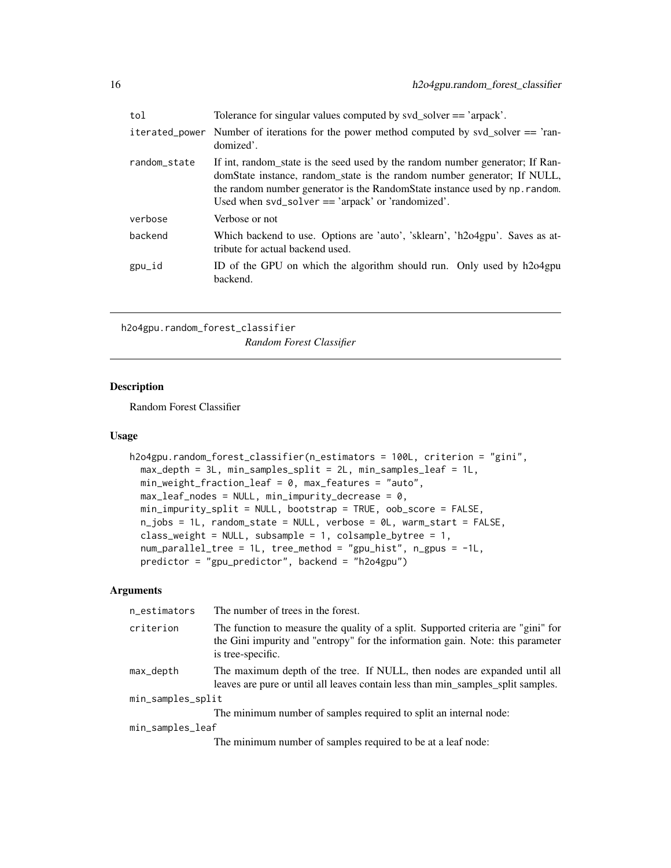<span id="page-15-0"></span>

| tol          | Tolerance for singular values computed by svd_solver == 'arpack'.                                                                                                                                                                                                                                    |
|--------------|------------------------------------------------------------------------------------------------------------------------------------------------------------------------------------------------------------------------------------------------------------------------------------------------------|
|              | iterated power Number of iterations for the power method computed by $svd$ solver $==$ 'ran-<br>domized'.                                                                                                                                                                                            |
| random_state | If int, random_state is the seed used by the random number generator; If Ran-<br>domState instance, random_state is the random number generator; If NULL,<br>the random number generator is the Random State instance used by np. random.<br>Used when $svd$ -solver $ == 'arpack'$ or 'randomized'. |
| verbose      | Verbose or not                                                                                                                                                                                                                                                                                       |
| backend      | Which backend to use. Options are 'auto', 'sklearn', 'h2o4gpu'. Saves as at-<br>tribute for actual backend used.                                                                                                                                                                                     |
| gpu_id       | ID of the GPU on which the algorithm should run. Only used by h2o4gpu<br>backend.                                                                                                                                                                                                                    |

h2o4gpu.random\_forest\_classifier *Random Forest Classifier*

#### Description

Random Forest Classifier

#### Usage

```
h2o4gpu.random_forest_classifier(n_estimators = 100L, criterion = "gini",
  max_depth = 3L, min_samples_split = 2L, min_samples_leaf = 1L,
 min\_weight\_fraction\_leaf = 0, max\_features = "auto",max\_leaf\_nodes = NULL, min\_impurity\_decrease = 0,min_impurity_split = NULL, bootstrap = TRUE, oob_score = FALSE,
  n_jobs = 1L, random_state = NULL, verbose = 0L, warm_start = FALSE,
  class_weight = NULL, subsample = 1, colsample_bytree = 1,
  num_parallel_tree = 1L, tree_method = "gpu_hist", n_gpus = -1L,
  predictor = "gpu_predictor", backend = "h2o4gpu")
```

| n_estimators      | The number of trees in the forest.                                                                                                                                                       |
|-------------------|------------------------------------------------------------------------------------------------------------------------------------------------------------------------------------------|
| criterion         | The function to measure the quality of a split. Supported criteria are "gini" for<br>the Gini impurity and "entropy" for the information gain. Note: this parameter<br>is tree-specific. |
| max_depth         | The maximum depth of the tree. If NULL, then nodes are expanded until all<br>leaves are pure or until all leaves contain less than min_samples_split samples.                            |
| min_samples_split |                                                                                                                                                                                          |
|                   | The minimum number of samples required to split an internal node:                                                                                                                        |
| min_samples_leaf  |                                                                                                                                                                                          |
|                   | The minimum number of samples required to be at a leaf node:                                                                                                                             |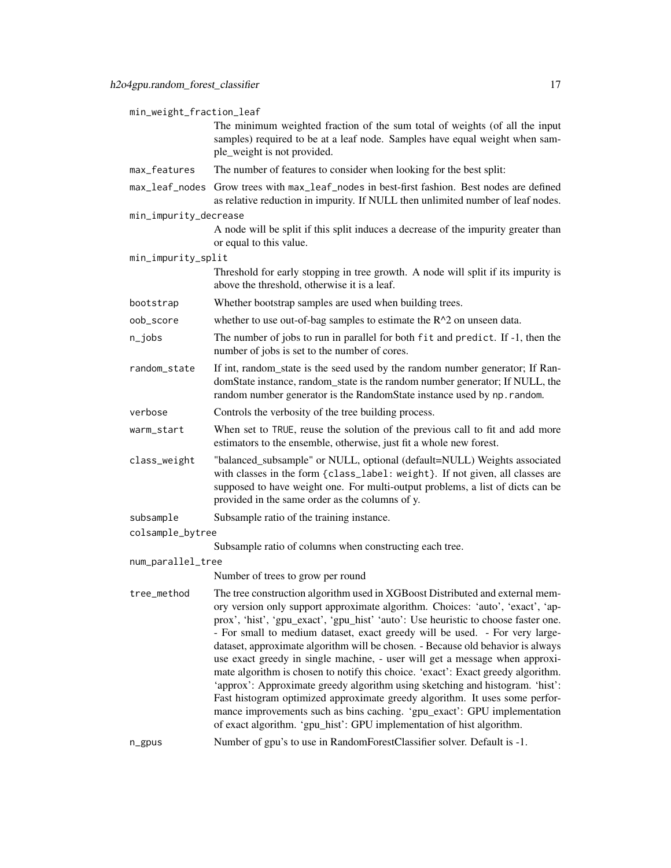| min_weight_fraction_leaf |                                                                                                                                                                                                                                                                                                                                                                                                                                                                                                                                                                                                                                                                                                                                                                                                                                                                                                                 |  |
|--------------------------|-----------------------------------------------------------------------------------------------------------------------------------------------------------------------------------------------------------------------------------------------------------------------------------------------------------------------------------------------------------------------------------------------------------------------------------------------------------------------------------------------------------------------------------------------------------------------------------------------------------------------------------------------------------------------------------------------------------------------------------------------------------------------------------------------------------------------------------------------------------------------------------------------------------------|--|
|                          | The minimum weighted fraction of the sum total of weights (of all the input<br>samples) required to be at a leaf node. Samples have equal weight when sam-<br>ple_weight is not provided.                                                                                                                                                                                                                                                                                                                                                                                                                                                                                                                                                                                                                                                                                                                       |  |
| max_features             | The number of features to consider when looking for the best split:                                                                                                                                                                                                                                                                                                                                                                                                                                                                                                                                                                                                                                                                                                                                                                                                                                             |  |
|                          | max_leaf_nodes Grow trees with max_leaf_nodes in best-first fashion. Best nodes are defined<br>as relative reduction in impurity. If NULL then unlimited number of leaf nodes.                                                                                                                                                                                                                                                                                                                                                                                                                                                                                                                                                                                                                                                                                                                                  |  |
| min_impurity_decrease    | A node will be split if this split induces a decrease of the impurity greater than<br>or equal to this value.                                                                                                                                                                                                                                                                                                                                                                                                                                                                                                                                                                                                                                                                                                                                                                                                   |  |
| min_impurity_split       |                                                                                                                                                                                                                                                                                                                                                                                                                                                                                                                                                                                                                                                                                                                                                                                                                                                                                                                 |  |
|                          | Threshold for early stopping in tree growth. A node will split if its impurity is<br>above the threshold, otherwise it is a leaf.                                                                                                                                                                                                                                                                                                                                                                                                                                                                                                                                                                                                                                                                                                                                                                               |  |
| bootstrap                | Whether bootstrap samples are used when building trees.                                                                                                                                                                                                                                                                                                                                                                                                                                                                                                                                                                                                                                                                                                                                                                                                                                                         |  |
| oob_score                | whether to use out-of-bag samples to estimate the $R^2$ on unseen data.                                                                                                                                                                                                                                                                                                                                                                                                                                                                                                                                                                                                                                                                                                                                                                                                                                         |  |
| $n$ _jobs                | The number of jobs to run in parallel for both fit and predict. If -1, then the<br>number of jobs is set to the number of cores.                                                                                                                                                                                                                                                                                                                                                                                                                                                                                                                                                                                                                                                                                                                                                                                |  |
| random_state             | If int, random_state is the seed used by the random number generator; If Ran-<br>domState instance, random_state is the random number generator; If NULL, the<br>random number generator is the RandomState instance used by np. random.                                                                                                                                                                                                                                                                                                                                                                                                                                                                                                                                                                                                                                                                        |  |
| verbose                  | Controls the verbosity of the tree building process.                                                                                                                                                                                                                                                                                                                                                                                                                                                                                                                                                                                                                                                                                                                                                                                                                                                            |  |
| warm_start               | When set to TRUE, reuse the solution of the previous call to fit and add more<br>estimators to the ensemble, otherwise, just fit a whole new forest.                                                                                                                                                                                                                                                                                                                                                                                                                                                                                                                                                                                                                                                                                                                                                            |  |
| class_weight             | "balanced_subsample" or NULL, optional (default=NULL) Weights associated<br>with classes in the form {class_label: weight}. If not given, all classes are<br>supposed to have weight one. For multi-output problems, a list of dicts can be<br>provided in the same order as the columns of y.                                                                                                                                                                                                                                                                                                                                                                                                                                                                                                                                                                                                                  |  |
| subsample                | Subsample ratio of the training instance.                                                                                                                                                                                                                                                                                                                                                                                                                                                                                                                                                                                                                                                                                                                                                                                                                                                                       |  |
| colsample_bytree         |                                                                                                                                                                                                                                                                                                                                                                                                                                                                                                                                                                                                                                                                                                                                                                                                                                                                                                                 |  |
|                          | Subsample ratio of columns when constructing each tree.                                                                                                                                                                                                                                                                                                                                                                                                                                                                                                                                                                                                                                                                                                                                                                                                                                                         |  |
| num_parallel_tree        |                                                                                                                                                                                                                                                                                                                                                                                                                                                                                                                                                                                                                                                                                                                                                                                                                                                                                                                 |  |
|                          | Number of trees to grow per round                                                                                                                                                                                                                                                                                                                                                                                                                                                                                                                                                                                                                                                                                                                                                                                                                                                                               |  |
| tree_method              | The tree construction algorithm used in XGBoost Distributed and external mem-<br>ory version only support approximate algorithm. Choices: 'auto', 'exact', 'ap-<br>prox', 'hist', 'gpu_exact', 'gpu_hist' 'auto': Use heuristic to choose faster one.<br>- For small to medium dataset, exact greedy will be used. - For very large-<br>dataset, approximate algorithm will be chosen. - Because old behavior is always<br>use exact greedy in single machine, - user will get a message when approxi-<br>mate algorithm is chosen to notify this choice. 'exact': Exact greedy algorithm.<br>'approx': Approximate greedy algorithm using sketching and histogram. 'hist':<br>Fast histogram optimized approximate greedy algorithm. It uses some perfor-<br>mance improvements such as bins caching. 'gpu_exact': GPU implementation<br>of exact algorithm. 'gpu_hist': GPU implementation of hist algorithm. |  |
| n_gpus                   | Number of gpu's to use in RandomForestClassifier solver. Default is -1.                                                                                                                                                                                                                                                                                                                                                                                                                                                                                                                                                                                                                                                                                                                                                                                                                                         |  |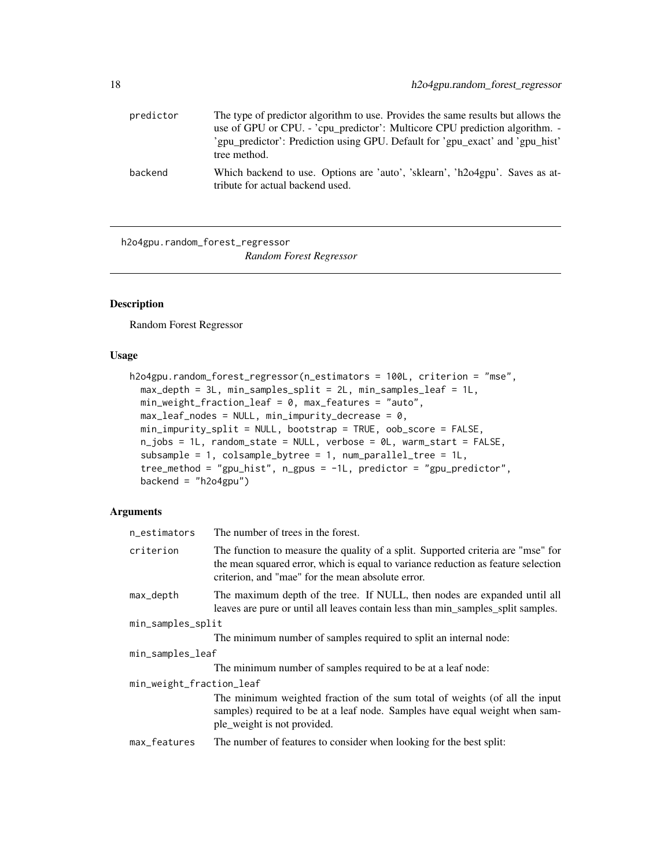<span id="page-17-0"></span>

| predictor | The type of predictor algorithm to use. Provides the same results but allows the<br>use of GPU or CPU. - 'cpu_predictor': Multicore CPU prediction algorithm. - |
|-----------|-----------------------------------------------------------------------------------------------------------------------------------------------------------------|
|           | 'gpu_predictor': Prediction using GPU. Default for 'gpu_exact' and 'gpu_hist'<br>tree method.                                                                   |
| backend   | Which backend to use. Options are 'auto', 'sklearn', 'h2o4gpu'. Saves as at-<br>tribute for actual backend used.                                                |

h2o4gpu.random\_forest\_regressor *Random Forest Regressor*

#### Description

Random Forest Regressor

#### Usage

```
h2o4gpu.random_forest_regressor(n_estimators = 100L, criterion = "mse",
  max_{\text{depth}} = 3L, min_{\text{samples}} = 2L, min_{\text{samples}} = 1L,
 min_weight_fraction_leaf = 0, max_features = "auto",
 max\_leaf\_nodes = NULL, min\_impurity\_decrease = 0,min_impurity_split = NULL, bootstrap = TRUE, oob_score = FALSE,
  n_jobs = 1L, random_state = NULL, verbose = 0L, warm_start = FALSE,
  subsample = 1, colsample_bytree = 1, num_parallel_tree = 1L,
  tree_method = "gpu_hist", n_gpus = -1L, predictor = "gpu_predictor",
  backend = "h2o4gpu")
```
#### Arguments

| n_estimators             | The number of trees in the forest.                                                                                                                                                                                         |  |
|--------------------------|----------------------------------------------------------------------------------------------------------------------------------------------------------------------------------------------------------------------------|--|
| criterion                | The function to measure the quality of a split. Supported criteria are "mse" for<br>the mean squared error, which is equal to variance reduction as feature selection<br>criterion, and "mae" for the mean absolute error. |  |
| max_depth                | The maximum depth of the tree. If NULL, then nodes are expanded until all<br>leaves are pure or until all leaves contain less than min_samples_split samples.                                                              |  |
| min_samples_split        |                                                                                                                                                                                                                            |  |
|                          | The minimum number of samples required to split an internal node:                                                                                                                                                          |  |
| min_samples_leaf         |                                                                                                                                                                                                                            |  |
|                          | The minimum number of samples required to be at a leaf node:                                                                                                                                                               |  |
| min_weight_fraction_leaf |                                                                                                                                                                                                                            |  |
|                          | The minimum weighted fraction of the sum total of weights (of all the input<br>samples) required to be at a leaf node. Samples have equal weight when sam-<br>ple_weight is not provided.                                  |  |
| $m \sim$ footures        | The number of features to consider when looking for the best split.                                                                                                                                                        |  |

max\_features The number of features to consider when looking for the best split: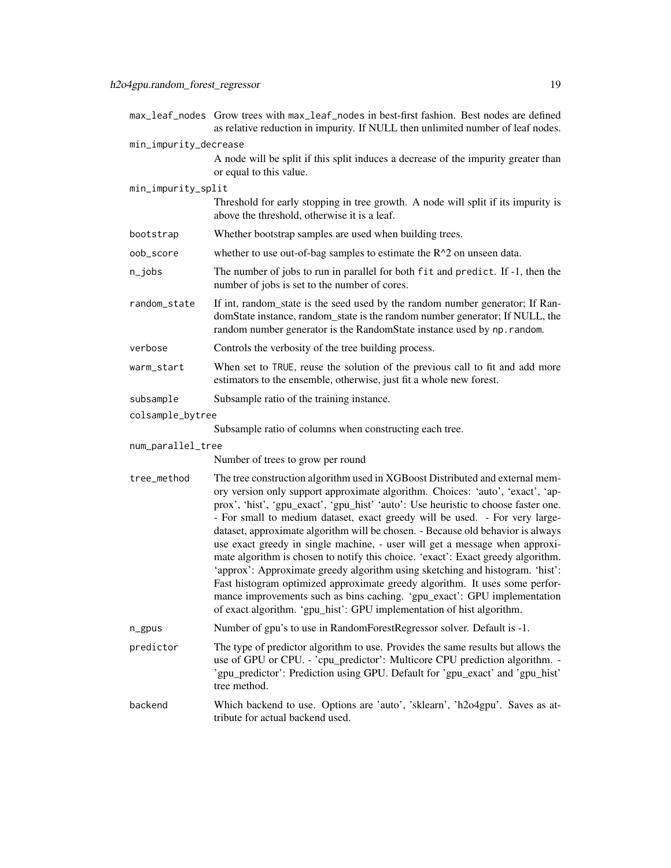|                       | max_leaf_nodes Grow trees with max_leaf_nodes in best-first fashion. Best nodes are defined<br>as relative reduction in impurity. If NULL then unlimited number of leaf nodes.                                                                                                                                                                                                                                                                                                                                                                                                                                                                                                                                                                                                                                                                                                                                  |
|-----------------------|-----------------------------------------------------------------------------------------------------------------------------------------------------------------------------------------------------------------------------------------------------------------------------------------------------------------------------------------------------------------------------------------------------------------------------------------------------------------------------------------------------------------------------------------------------------------------------------------------------------------------------------------------------------------------------------------------------------------------------------------------------------------------------------------------------------------------------------------------------------------------------------------------------------------|
| min_impurity_decrease |                                                                                                                                                                                                                                                                                                                                                                                                                                                                                                                                                                                                                                                                                                                                                                                                                                                                                                                 |
|                       | A node will be split if this split induces a decrease of the impurity greater than<br>or equal to this value.                                                                                                                                                                                                                                                                                                                                                                                                                                                                                                                                                                                                                                                                                                                                                                                                   |
| min_impurity_split    |                                                                                                                                                                                                                                                                                                                                                                                                                                                                                                                                                                                                                                                                                                                                                                                                                                                                                                                 |
|                       | Threshold for early stopping in tree growth. A node will split if its impurity is<br>above the threshold, otherwise it is a leaf.                                                                                                                                                                                                                                                                                                                                                                                                                                                                                                                                                                                                                                                                                                                                                                               |
| bootstrap             | Whether bootstrap samples are used when building trees.                                                                                                                                                                                                                                                                                                                                                                                                                                                                                                                                                                                                                                                                                                                                                                                                                                                         |
| oob_score             | whether to use out-of-bag samples to estimate the $R^2$ on unseen data.                                                                                                                                                                                                                                                                                                                                                                                                                                                                                                                                                                                                                                                                                                                                                                                                                                         |
| $n$ _jobs             | The number of jobs to run in parallel for both fit and predict. If -1, then the<br>number of jobs is set to the number of cores.                                                                                                                                                                                                                                                                                                                                                                                                                                                                                                                                                                                                                                                                                                                                                                                |
| random_state          | If int, random_state is the seed used by the random number generator; If Ran-<br>domState instance, random_state is the random number generator; If NULL, the<br>random number generator is the RandomState instance used by np. random.                                                                                                                                                                                                                                                                                                                                                                                                                                                                                                                                                                                                                                                                        |
| verbose               | Controls the verbosity of the tree building process.                                                                                                                                                                                                                                                                                                                                                                                                                                                                                                                                                                                                                                                                                                                                                                                                                                                            |
| warm_start            | When set to TRUE, reuse the solution of the previous call to fit and add more<br>estimators to the ensemble, otherwise, just fit a whole new forest.                                                                                                                                                                                                                                                                                                                                                                                                                                                                                                                                                                                                                                                                                                                                                            |
| subsample             | Subsample ratio of the training instance.                                                                                                                                                                                                                                                                                                                                                                                                                                                                                                                                                                                                                                                                                                                                                                                                                                                                       |
| colsample_bytree      |                                                                                                                                                                                                                                                                                                                                                                                                                                                                                                                                                                                                                                                                                                                                                                                                                                                                                                                 |
|                       | Subsample ratio of columns when constructing each tree.                                                                                                                                                                                                                                                                                                                                                                                                                                                                                                                                                                                                                                                                                                                                                                                                                                                         |
| num_parallel_tree     |                                                                                                                                                                                                                                                                                                                                                                                                                                                                                                                                                                                                                                                                                                                                                                                                                                                                                                                 |
|                       | Number of trees to grow per round                                                                                                                                                                                                                                                                                                                                                                                                                                                                                                                                                                                                                                                                                                                                                                                                                                                                               |
| tree_method           | The tree construction algorithm used in XGBoost Distributed and external mem-<br>ory version only support approximate algorithm. Choices: 'auto', 'exact', 'ap-<br>prox', 'hist', 'gpu_exact', 'gpu_hist' 'auto': Use heuristic to choose faster one.<br>- For small to medium dataset, exact greedy will be used. - For very large-<br>dataset, approximate algorithm will be chosen. - Because old behavior is always<br>use exact greedy in single machine, - user will get a message when approxi-<br>mate algorithm is chosen to notify this choice. 'exact': Exact greedy algorithm.<br>'approx': Approximate greedy algorithm using sketching and histogram. 'hist':<br>Fast histogram optimized approximate greedy algorithm. It uses some perfor-<br>mance improvements such as bins caching. 'gpu_exact': GPU implementation<br>of exact algorithm. 'gpu_hist': GPU implementation of hist algorithm. |
| n_gpus                | Number of gpu's to use in RandomForestRegressor solver. Default is -1.                                                                                                                                                                                                                                                                                                                                                                                                                                                                                                                                                                                                                                                                                                                                                                                                                                          |
| predictor             | The type of predictor algorithm to use. Provides the same results but allows the<br>use of GPU or CPU. - 'cpu_predictor': Multicore CPU prediction algorithm. -<br>'gpu_predictor': Prediction using GPU. Default for 'gpu_exact' and 'gpu_hist'<br>tree method.                                                                                                                                                                                                                                                                                                                                                                                                                                                                                                                                                                                                                                                |
| backend               | Which backend to use. Options are 'auto', 'sklearn', 'h2o4gpu'. Saves as at-<br>tribute for actual backend used.                                                                                                                                                                                                                                                                                                                                                                                                                                                                                                                                                                                                                                                                                                                                                                                                |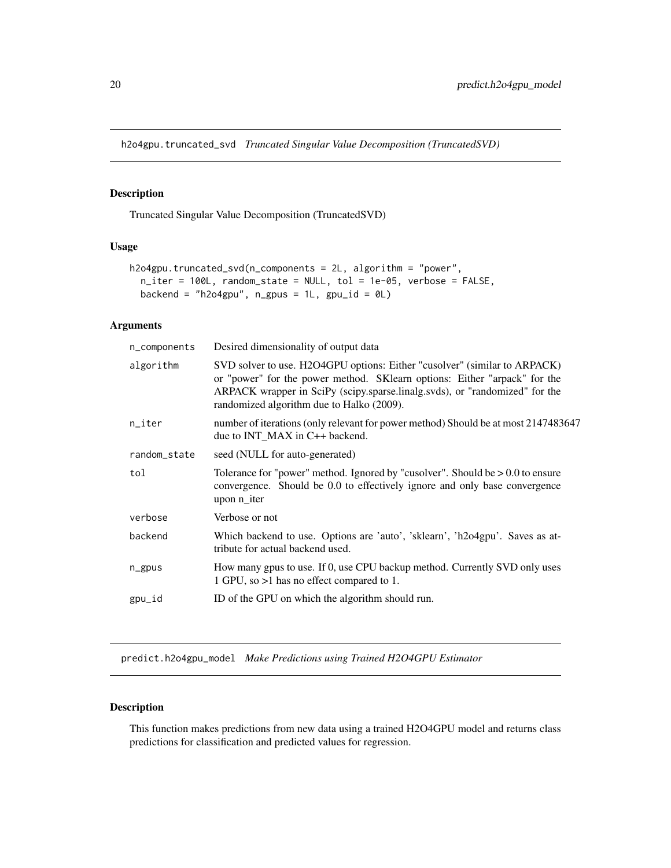<span id="page-19-0"></span>h2o4gpu.truncated\_svd *Truncated Singular Value Decomposition (TruncatedSVD)*

#### Description

Truncated Singular Value Decomposition (TruncatedSVD)

#### Usage

```
h2o4gpu.truncated_svd(n_components = 2L, algorithm = "power",
 n_iter = 100L, random_state = NULL, tol = 1e-05, verbose = FALSE,
 backend = "h2o4gpu", n_{g}pus = 1L, gpu_id = 0L)
```
#### Arguments

| n_components | Desired dimensionality of output data                                                                                                                                                                                                                                              |
|--------------|------------------------------------------------------------------------------------------------------------------------------------------------------------------------------------------------------------------------------------------------------------------------------------|
| algorithm    | SVD solver to use. H2O4GPU options: Either "cusolver" (similar to ARPACK)<br>or "power" for the power method. SKlearn options: Either "arpack" for the<br>ARPACK wrapper in SciPy (scipy.sparse.linalg.svds), or "randomized" for the<br>randomized algorithm due to Halko (2009). |
| n_iter       | number of iterations (only relevant for power method) Should be at most 2147483647<br>due to INT_MAX in C++ backend.                                                                                                                                                               |
| random_state | seed (NULL for auto-generated)                                                                                                                                                                                                                                                     |
| tol          | Tolerance for "power" method. Ignored by "cusolver". Should be $> 0.0$ to ensure<br>convergence. Should be 0.0 to effectively ignore and only base convergence<br>upon n_iter                                                                                                      |
| verbose      | Verbose or not                                                                                                                                                                                                                                                                     |
| backend      | Which backend to use. Options are 'auto', 'sklearn', 'h2o4gpu'. Saves as at-<br>tribute for actual backend used.                                                                                                                                                                   |
| n_gpus       | How many gpus to use. If 0, use CPU backup method. Currently SVD only uses<br>1 GPU, so >1 has no effect compared to 1.                                                                                                                                                            |
| gpu_id       | ID of the GPU on which the algorithm should run.                                                                                                                                                                                                                                   |
|              |                                                                                                                                                                                                                                                                                    |

predict.h2o4gpu\_model *Make Predictions using Trained H2O4GPU Estimator*

#### Description

This function makes predictions from new data using a trained H2O4GPU model and returns class predictions for classification and predicted values for regression.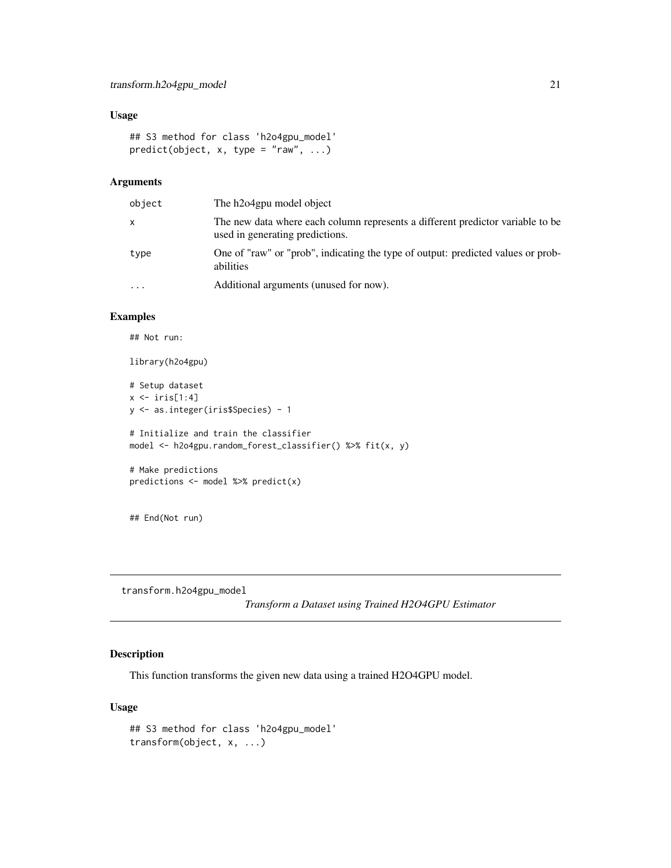#### <span id="page-20-0"></span>Usage

```
## S3 method for class 'h2o4gpu_model'
predict(object, x, type = "raw", ...)
```
#### Arguments

| object    | The h2o4gpu model object                                                                                          |
|-----------|-------------------------------------------------------------------------------------------------------------------|
| x         | The new data where each column represents a different predictor variable to be<br>used in generating predictions. |
| type      | One of "raw" or "prob", indicating the type of output: predicted values or prob-<br>abilities                     |
| $\ddotsc$ | Additional arguments (unused for now).                                                                            |

#### Examples

## Not run:

library(h2o4gpu)

```
# Setup dataset
x \leftarrow \text{iris}[1:4]y <- as.integer(iris$Species) - 1
# Initialize and train the classifier
model <- h2o4gpu.random_forest_classifier() %>% fit(x, y)
# Make predictions
predictions <- model %>% predict(x)
```
## End(Not run)

transform.h2o4gpu\_model

*Transform a Dataset using Trained H2O4GPU Estimator*

#### Description

This function transforms the given new data using a trained H2O4GPU model.

#### Usage

```
## S3 method for class 'h2o4gpu_model'
transform(object, x, ...)
```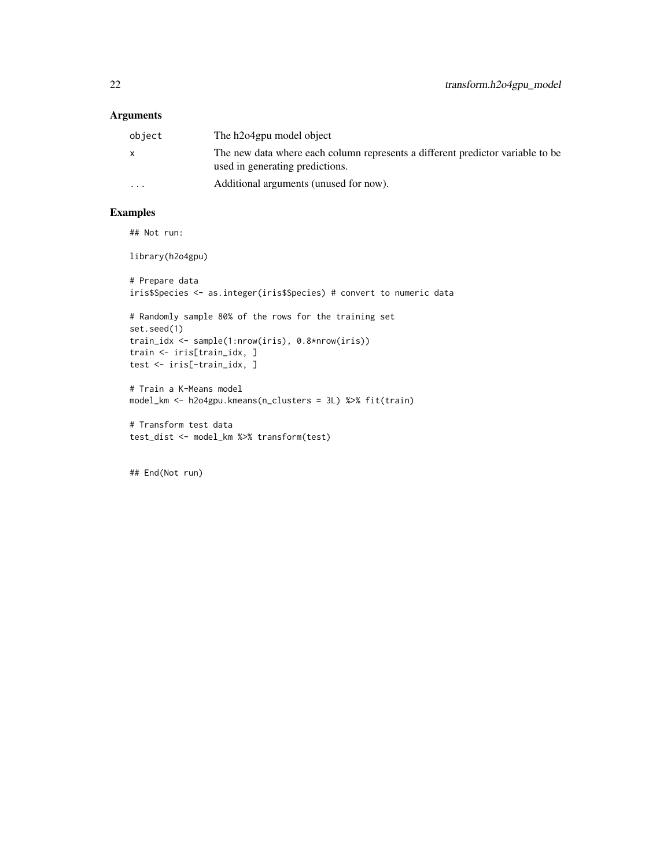#### Arguments

| object   | The h2o4gpu model object                                                                                          |
|----------|-------------------------------------------------------------------------------------------------------------------|
| X        | The new data where each column represents a different predictor variable to be<br>used in generating predictions. |
| $\cdots$ | Additional arguments (unused for now).                                                                            |

#### Examples

## Not run:

library(h2o4gpu)

```
# Prepare data
iris$Species <- as.integer(iris$Species) # convert to numeric data
# Randomly sample 80% of the rows for the training set
set.seed(1)
train_idx <- sample(1:nrow(iris), 0.8*nrow(iris))
train <- iris[train_idx, ]
test <- iris[-train_idx, ]
# Train a K-Means model
model_km <- h2o4gpu.kmeans(n_clusters = 3L) %>% fit(train)
# Transform test data
test_dist <- model_km %>% transform(test)
```
## End(Not run)